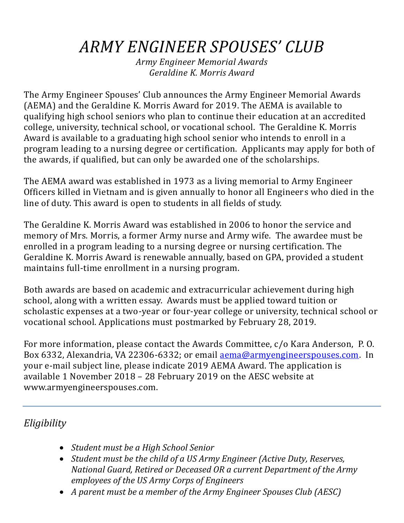# *ARMY ENGINEER SPOUSES' CLUB*

*Army Engineer Memorial Awards Geraldine K. Morris Award*

The Army Engineer Spouses' Club announces the Army Engineer Memorial Awards (AEMA) and the Geraldine K. Morris Award for 2019. The AEMA is available to qualifying high school seniors who plan to continue their education at an accredited college, university, technical school, or vocational school. The Geraldine K. Morris Award is available to a graduating high school senior who intends to enroll in a program leading to a nursing degree or certification. Applicants may apply for both of the awards, if qualified, but can only be awarded one of the scholarships.

The AEMA award was established in 1973 as a living memorial to Army Engineer Officers killed in Vietnam and is given annually to honor all Engineers who died in the line of duty. This award is open to students in all fields of study.

The Geraldine K. Morris Award was established in 2006 to honor the service and memory of Mrs. Morris, a former Army nurse and Army wife. The awardee must be enrolled in a program leading to a nursing degree or nursing certification. The Geraldine K. Morris Award is renewable annually, based on GPA, provided a student maintains full-time enrollment in a nursing program.

Both awards are based on academic and extracurricular achievement during high school, along with a written essay. Awards must be applied toward tuition or scholastic expenses at a two-year or four-year college or university, technical school or vocational school. Applications must postmarked by February 28, 2019.

For more information, please contact the Awards Committee, c/o Kara Anderson, P. O. Box 6332, Alexandria, VA 22306-6332; or email [aema@armyengineerspouses.com.](mailto:aema@armyengineerspouses.com) In your e-mail subject line, please indicate 2019 AEMA Award. The application is available 1 November 2018 – 28 February 2019 on the AESC website at www.armyengineerspouses.com.

# *Eligibility*

- *Student must be a High School Senior*
- *Student must be the child of a US Army Engineer (Active Duty, Reserves, National Guard, Retired or Deceased OR a current Department of the Army employees of the US Army Corps of Engineers*
- *A parent must be a member of the Army Engineer Spouses Club (AESC)*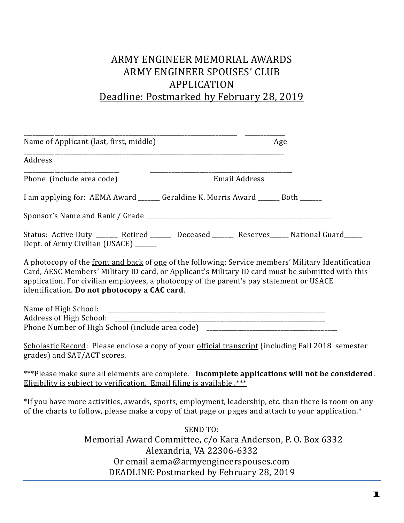# ARMY ENGINEER MEMORIAL AWARDS ARMY ENGINEER SPOUSES' CLUB APPLICATION Deadline: Postmarked by February 28, 2019

| Age<br>Name of Applicant (last, first, middle)                                                                                                                                                                                                                                                                                                      |  |  |  |  |  |  |  |
|-----------------------------------------------------------------------------------------------------------------------------------------------------------------------------------------------------------------------------------------------------------------------------------------------------------------------------------------------------|--|--|--|--|--|--|--|
| Address                                                                                                                                                                                                                                                                                                                                             |  |  |  |  |  |  |  |
| Phone (include area code)<br><b>Email Address</b>                                                                                                                                                                                                                                                                                                   |  |  |  |  |  |  |  |
| I am applying for: AEMA Award ______ Geraldine K. Morris Award ______ Both ______                                                                                                                                                                                                                                                                   |  |  |  |  |  |  |  |
|                                                                                                                                                                                                                                                                                                                                                     |  |  |  |  |  |  |  |
| Status: Active Duty _______ Retired _______ Deceased ______ Reserves_____ National Guard_____<br>Dept. of Army Civilian (USACE) _______                                                                                                                                                                                                             |  |  |  |  |  |  |  |
| A photocopy of the front and back of one of the following: Service members' Military Identification<br>Card, AESC Members' Military ID card, or Applicant's Military ID card must be submitted with this<br>application. For civilian employees, a photocopy of the parent's pay statement or USACE<br>identification. Do not photocopy a CAC card. |  |  |  |  |  |  |  |
| Name of High School:<br>Phone Number of High School (include area code) _________________________________                                                                                                                                                                                                                                           |  |  |  |  |  |  |  |
| Scholastic Record: Please enclose a copy of your official transcript (including Fall 2018 semester<br>grades) and SAT/ACT scores.                                                                                                                                                                                                                   |  |  |  |  |  |  |  |
| ***Please make sure all elements are complete. Incomplete applications will not be considered.<br><u>Eligibility is subject to verification. Email filing is available.</u> ***                                                                                                                                                                     |  |  |  |  |  |  |  |
| *If you have more activities, awards, sports, employment, leadership, etc. than there is room on any<br>of the charts to follow, please make a copy of that page or pages and attach to your application.*                                                                                                                                          |  |  |  |  |  |  |  |
| <b>SEND TO:</b><br>Memorial Award Committee, c/o Kara Anderson, P. O. Box 6332<br>Alexandria, VA 22306-6332<br>Or email aema@armyengineerspouses.com<br>DEADLINE: Postmarked by February 28, 2019                                                                                                                                                   |  |  |  |  |  |  |  |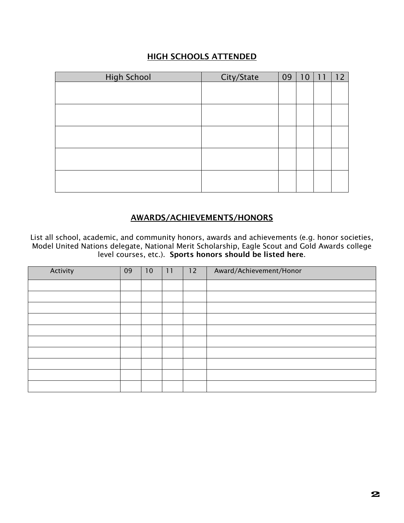# HIGH SCHOOLS ATTENDED

| <b>High School</b> | City/State | 09 | 10 | 11 | 12 |
|--------------------|------------|----|----|----|----|
|                    |            |    |    |    |    |
|                    |            |    |    |    |    |
|                    |            |    |    |    |    |
|                    |            |    |    |    |    |
|                    |            |    |    |    |    |
|                    |            |    |    |    |    |
|                    |            |    |    |    |    |
|                    |            |    |    |    |    |
|                    |            |    |    |    |    |
|                    |            |    |    |    |    |

### AWARDS/ACHIEVEMENTS/HONORS

List all school, academic, and community honors, awards and achievements (e.g. honor societies, Model United Nations delegate, National Merit Scholarship, Eagle Scout and Gold Awards college level courses, etc.). Sports honors should be listed here.

| Activity | 09 | 10 | 11 | 12 | Award/Achievement/Honor |
|----------|----|----|----|----|-------------------------|
|          |    |    |    |    |                         |
|          |    |    |    |    |                         |
|          |    |    |    |    |                         |
|          |    |    |    |    |                         |
|          |    |    |    |    |                         |
|          |    |    |    |    |                         |
|          |    |    |    |    |                         |
|          |    |    |    |    |                         |
|          |    |    |    |    |                         |
|          |    |    |    |    |                         |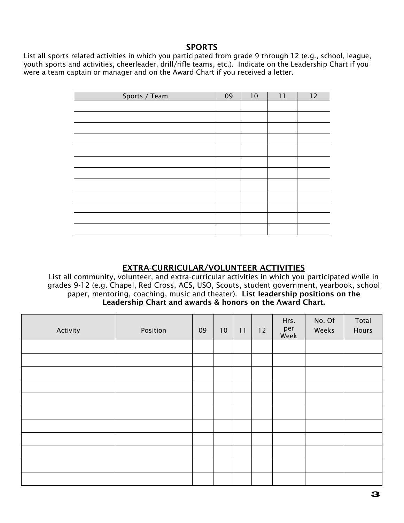# SPORTS

List all sports related activities in which you participated from grade 9 through 12 (e.g., school, league, youth sports and activities, cheerleader, drill/rifle teams, etc.). Indicate on the Leadership Chart if you were a team captain or manager and on the Award Chart if you received a letter.

| Sports / Team | 09 | 10 | 11 | 12 |
|---------------|----|----|----|----|
|               |    |    |    |    |
|               |    |    |    |    |
|               |    |    |    |    |
|               |    |    |    |    |
|               |    |    |    |    |
|               |    |    |    |    |
|               |    |    |    |    |
|               |    |    |    |    |
|               |    |    |    |    |
|               |    |    |    |    |
|               |    |    |    |    |
|               |    |    |    |    |

### EXTRA-CURRICULAR/VOLUNTEER ACTIVITIES

List all community, volunteer, and extra-curricular activities in which you participated while in grades 9-12 (e.g. Chapel, Red Cross, ACS, USO, Scouts, student government, yearbook, school paper, mentoring, coaching, music and theater). List leadership positions on the Leadership Chart and awards & honors on the Award Chart.

| Activity | Position | 09 | 10 | 11 | 12 | Hrs.<br>per<br>Week | No. Of<br>Weeks | Total<br>Hours |
|----------|----------|----|----|----|----|---------------------|-----------------|----------------|
|          |          |    |    |    |    |                     |                 |                |
|          |          |    |    |    |    |                     |                 |                |
|          |          |    |    |    |    |                     |                 |                |
|          |          |    |    |    |    |                     |                 |                |
|          |          |    |    |    |    |                     |                 |                |
|          |          |    |    |    |    |                     |                 |                |
|          |          |    |    |    |    |                     |                 |                |
|          |          |    |    |    |    |                     |                 |                |
|          |          |    |    |    |    |                     |                 |                |
|          |          |    |    |    |    |                     |                 |                |
|          |          |    |    |    |    |                     |                 |                |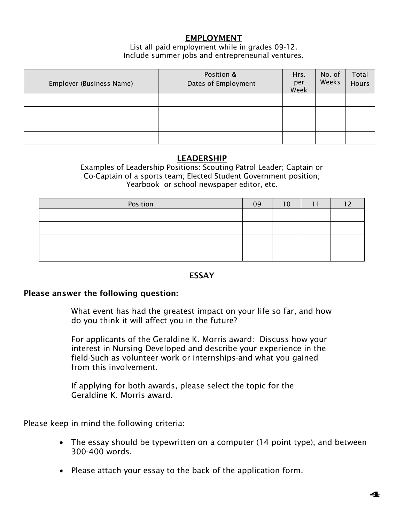# EMPLOYMENT

#### List all paid employment while in grades 09-12. Include summer jobs and entrepreneurial ventures.

| Employer (Business Name) | Position &<br>Dates of Employment | Hrs.<br>per<br>Week | No. of<br>Weeks | Total<br><b>Hours</b> |
|--------------------------|-----------------------------------|---------------------|-----------------|-----------------------|
|                          |                                   |                     |                 |                       |
|                          |                                   |                     |                 |                       |
|                          |                                   |                     |                 |                       |
|                          |                                   |                     |                 |                       |

#### LEADERSHIP

Examples of Leadership Positions: Scouting Patrol Leader; Captain or Co-Captain of a sports team; Elected Student Government position; Yearbook or school newspaper editor, etc.

| Position | 09 |  |  |
|----------|----|--|--|
|          |    |  |  |
|          |    |  |  |
|          |    |  |  |
|          |    |  |  |

### ESSAY

#### Please answer the following question:

What event has had the greatest impact on your life so far, and how do you think it will affect you in the future?

For applicants of the Geraldine K. Morris award: Discuss how your interest in Nursing Developed and describe your experience in the field-Such as volunteer work or internships-and what you gained from this involvement.

If applying for both awards, please select the topic for the Geraldine K. Morris award.

Please keep in mind the following criteria:

- The essay should be typewritten on a computer (14 point type), and between 300-400 words.
- Please attach your essay to the back of the application form.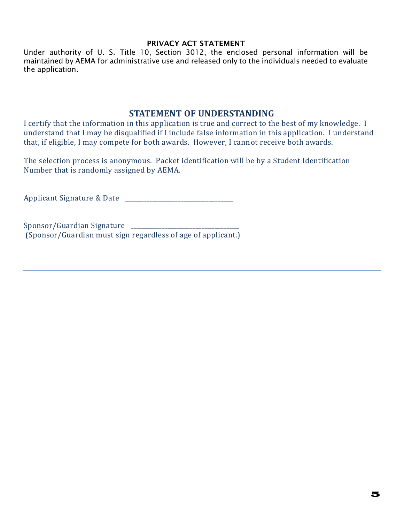#### PRIVACY ACT STATEMENT

Under authority of U. S. Title 10, Section 3012, the enclosed personal information will be maintained by AEMA for administrative use and released only to the individuals needed to evaluate the application.

## **STATEMENT OF UNDERSTANDING**

I certify that the information in this application is true and correct to the best of my knowledge. I understand that I may be disqualified if I include false information in this application. I understand that, if eligible, I may compete for both awards. However, I cannot receive both awards.

The selection process is anonymous. Packet identification will be by a Student Identification Number that is randomly assigned by AEMA.

Applicant Signature & Date \_\_\_\_\_\_\_\_\_\_\_\_\_\_\_\_\_\_\_\_\_\_\_\_\_\_\_\_\_\_\_\_\_\_\_

Sponsor/Guardian Signature (Sponsor/Guardian must sign regardless of age of applicant.)